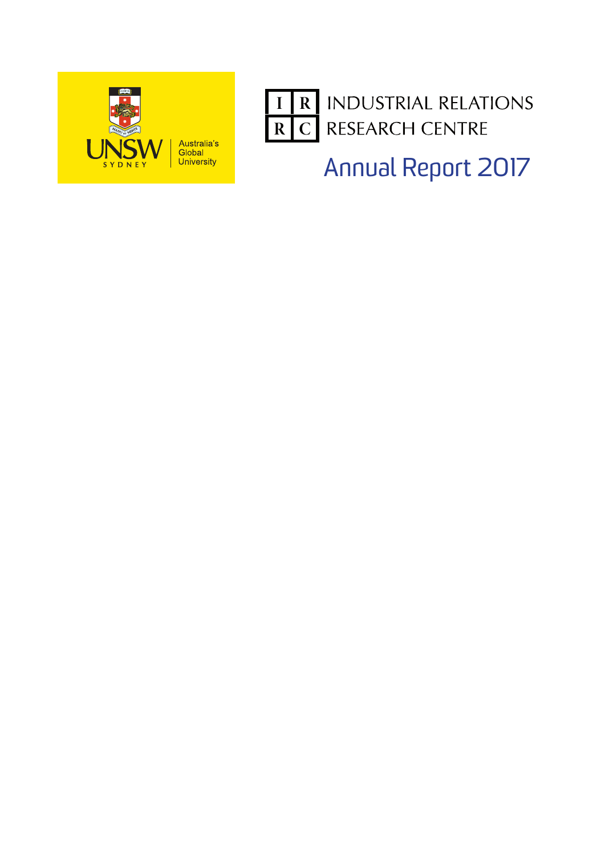



Annual Report 2017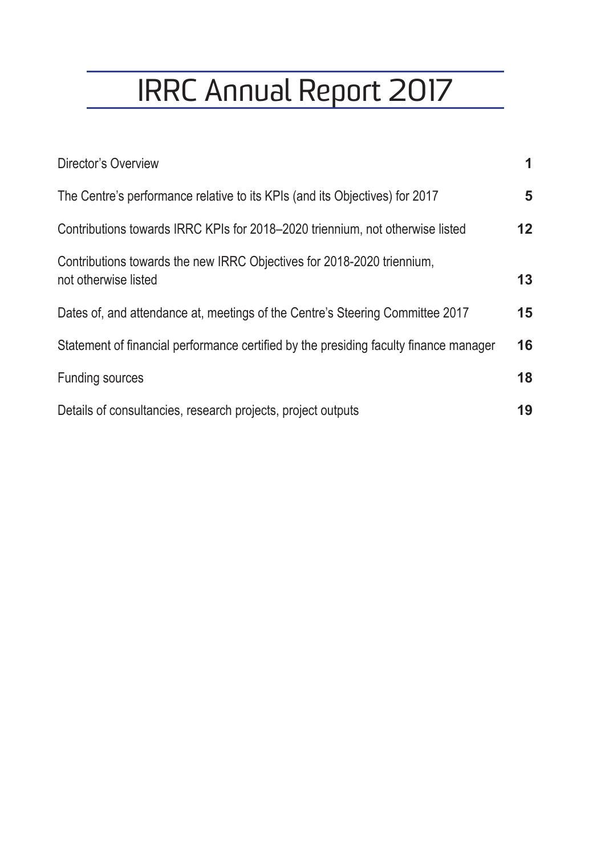# IRRC Annual Report 2017

| Director's Overview                                                                            | 1. |
|------------------------------------------------------------------------------------------------|----|
| The Centre's performance relative to its KPIs (and its Objectives) for 2017                    | 5  |
| Contributions towards IRRC KPIs for 2018–2020 triennium, not otherwise listed                  | 12 |
| Contributions towards the new IRRC Objectives for 2018-2020 triennium,<br>not otherwise listed | 13 |
| Dates of, and attendance at, meetings of the Centre's Steering Committee 2017                  | 15 |
| Statement of financial performance certified by the presiding faculty finance manager          | 16 |
| <b>Funding sources</b>                                                                         | 18 |
| Details of consultancies, research projects, project outputs                                   | 19 |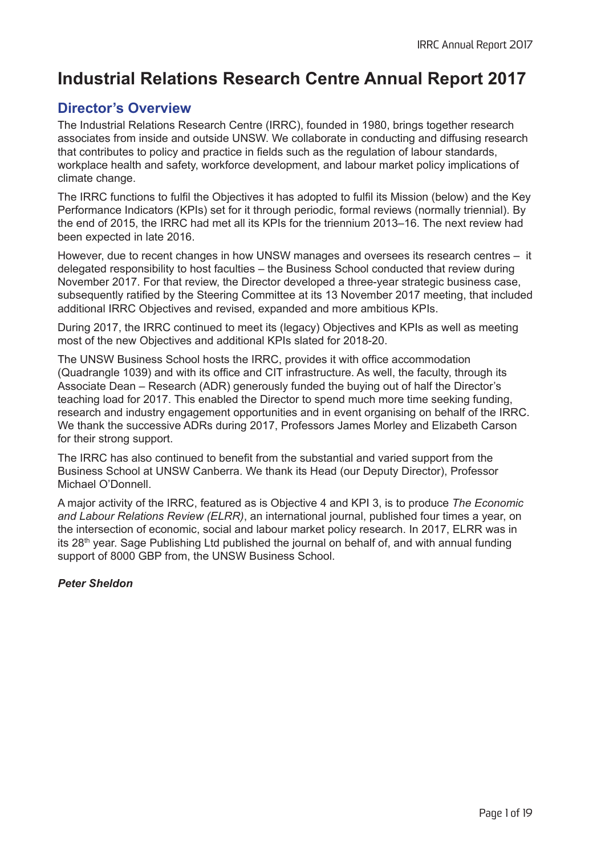# **Industrial Relations Research Centre Annual Report 2017**

## **Director's Overview**

The Industrial Relations Research Centre (IRRC), founded in 1980, brings together research associates from inside and outside UNSW. We collaborate in conducting and diffusing research that contributes to policy and practice in fields such as the regulation of labour standards, workplace health and safety, workforce development, and labour market policy implications of climate change.

The IRRC functions to fulfil the Objectives it has adopted to fulfil its Mission (below) and the Key Performance Indicators (KPIs) set for it through periodic, formal reviews (normally triennial). By the end of 2015, the IRRC had met all its KPIs for the triennium 2013–16. The next review had been expected in late 2016.

However, due to recent changes in how UNSW manages and oversees its research centres – it delegated responsibility to host faculties – the Business School conducted that review during November 2017. For that review, the Director developed a three-year strategic business case, subsequently ratified by the Steering Committee at its 13 November 2017 meeting, that included additional IRRC Objectives and revised, expanded and more ambitious KPIs.

During 2017, the IRRC continued to meet its (legacy) Objectives and KPIs as well as meeting most of the new Objectives and additional KPIs slated for 2018-20.

The UNSW Business School hosts the IRRC, provides it with office accommodation (Quadrangle 1039) and with its office and CIT infrastructure. As well, the faculty, through its Associate Dean – Research (ADR) generously funded the buying out of half the Director's teaching load for 2017. This enabled the Director to spend much more time seeking funding, research and industry engagement opportunities and in event organising on behalf of the IRRC. We thank the successive ADRs during 2017, Professors James Morley and Elizabeth Carson for their strong support.

The IRRC has also continued to benefit from the substantial and varied support from the Business School at UNSW Canberra. We thank its Head (our Deputy Director), Professor Michael O'Donnell.

A major activity of the IRRC, featured as is Objective 4 and KPI 3, is to produce *The Economic and Labour Relations Review (ELRR)*, an international journal, published four times a year, on the intersection of economic, social and labour market policy research. In 2017, ELRR was in its  $28<sup>th</sup>$  year. Sage Publishing Ltd published the journal on behalf of, and with annual funding support of 8000 GBP from, the UNSW Business School.

*Peter Sheldon*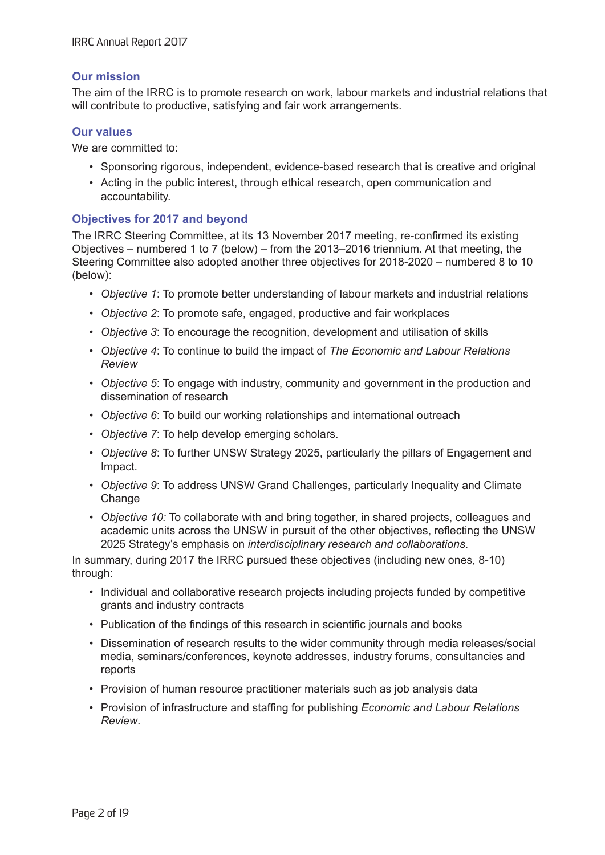## **Our mission**

The aim of the IRRC is to promote research on work, labour markets and industrial relations that will contribute to productive, satisfying and fair work arrangements.

### **Our values**

We are committed to:

- Sponsoring rigorous, independent, evidence-based research that is creative and original
- Acting in the public interest, through ethical research, open communication and accountability.

#### **Objectives for 2017 and beyond**

The IRRC Steering Committee, at its 13 November 2017 meeting, re-confirmed its existing Objectives – numbered 1 to 7 (below) – from the 2013–2016 triennium. At that meeting, the Steering Committee also adopted another three objectives for 2018-2020 – numbered 8 to 10 (below):

- *Objective 1*: To promote better understanding of labour markets and industrial relations
- *Objective 2*: To promote safe, engaged, productive and fair workplaces
- *Objective 3*: To encourage the recognition, development and utilisation of skills
- *Objective 4*: To continue to build the impact of *The Economic and Labour Relations Review*
- *Objective 5*: To engage with industry, community and government in the production and dissemination of research
- *Objective 6*: To build our working relationships and international outreach
- *Objective 7*: To help develop emerging scholars.
- *Objective 8*: To further UNSW Strategy 2025, particularly the pillars of Engagement and Impact.
- *Objective 9*: To address UNSW Grand Challenges, particularly Inequality and Climate **Change**
- *Objective 10:* To collaborate with and bring together, in shared projects, colleagues and academic units across the UNSW in pursuit of the other objectives, reflecting the UNSW 2025 Strategy's emphasis on *interdisciplinary research and collaborations*.

In summary, during 2017 the IRRC pursued these objectives (including new ones, 8-10) through:

- Individual and collaborative research projects including projects funded by competitive grants and industry contracts
- Publication of the findings of this research in scientific journals and books
- Dissemination of research results to the wider community through media releases/social media, seminars/conferences, keynote addresses, industry forums, consultancies and reports
- Provision of human resource practitioner materials such as job analysis data
- Provision of infrastructure and staffing for publishing *Economic and Labour Relations Review*.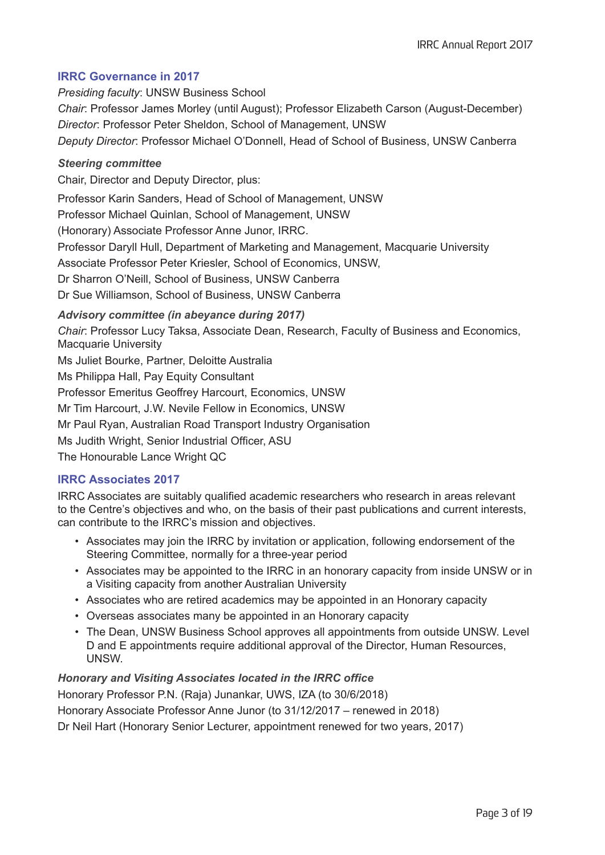## **IRRC Governance in 2017**

*Presiding faculty*: UNSW Business School *Chair*: Professor James Morley (until August); Professor Elizabeth Carson (August-December) *Director*: Professor Peter Sheldon, School of Management, UNSW *Deputy Director*: Professor Michael O'Donnell, Head of School of Business, UNSW Canberra

#### *Steering committee*

Chair, Director and Deputy Director, plus:

Professor Karin Sanders, Head of School of Management, UNSW

Professor Michael Quinlan, School of Management, UNSW

(Honorary) Associate Professor Anne Junor, IRRC.

Professor Daryll Hull, Department of Marketing and Management, Macquarie University

Associate Professor Peter Kriesler, School of Economics, UNSW,

Dr Sharron O'Neill, School of Business, UNSW Canberra

Dr Sue Williamson, School of Business, UNSW Canberra

## *Advisory committee (in abeyance during 2017)*

*Chair*: Professor Lucy Taksa, Associate Dean, Research, Faculty of Business and Economics, Macquarie University

Ms Juliet Bourke, Partner, Deloitte Australia

Ms Philippa Hall, Pay Equity Consultant

Professor Emeritus Geoffrey Harcourt, Economics, UNSW

Mr Tim Harcourt, J.W. Nevile Fellow in Economics, UNSW

Mr Paul Ryan, Australian Road Transport Industry Organisation

Ms Judith Wright, Senior Industrial Officer, ASU

The Honourable Lance Wright QC

## **IRRC Associates 2017**

IRRC Associates are suitably qualified academic researchers who research in areas relevant to the Centre's objectives and who, on the basis of their past publications and current interests, can contribute to the IRRC's mission and objectives.

- Associates may join the IRRC by invitation or application, following endorsement of the Steering Committee, normally for a three-year period
- Associates may be appointed to the IRRC in an honorary capacity from inside UNSW or in a Visiting capacity from another Australian University
- Associates who are retired academics may be appointed in an Honorary capacity
- Overseas associates many be appointed in an Honorary capacity
- The Dean, UNSW Business School approves all appointments from outside UNSW. Level D and E appointments require additional approval of the Director, Human Resources, UNSW.

## *Honorary and Visiting Associates located in the IRRC office*

Honorary Professor P.N. (Raja) Junankar, UWS, IZA (to 30/6/2018)

Honorary Associate Professor Anne Junor (to 31/12/2017 – renewed in 2018)

Dr Neil Hart (Honorary Senior Lecturer, appointment renewed for two years, 2017)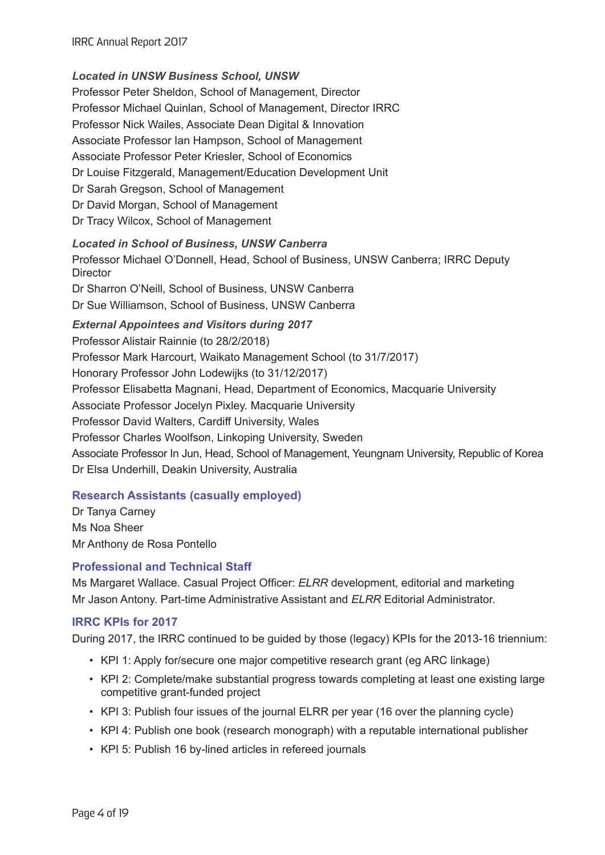## *Located in UNSW Business School, UNSW*

Professor Peter Sheldon, School of Management, Director Professor Michael Quinlan, School of Management, Director IRRC Professor Nick Wailes, Associate Dean Digital & Innovation Associate Professor Ian Hampson, School of Management Associate Professor Peter Kriesler, School of Economics Dr Louise Fitzgerald, Management/Education Development Unit Dr Sarah Gregson, School of Management Dr David Morgan, School of Management Dr Tracy Wilcox, School of Management

## *Located in School of Business, UNSW Canberra*

Professor Michael O'Donnell, Head, School of Business, UNSW Canberra; IRRC Deputy **Director** 

Dr Sharron O'Neill, School of Business, UNSW Canberra Dr Sue Williamson, School of Business, UNSW Canberra

*External Appointees and Visitors during 2017*

Professor Alistair Rainnie (to 28/2/2018) Professor Mark Harcourt, Waikato Management School (to 31/7/2017) Honorary Professor John Lodewijks (to 31/12/2017) Professor Elisabetta Magnani, Head, Department of Economics, Macquarie University Associate Professor Jocelyn Pixley. Macquarie University Professor David Walters, Cardiff University, Wales Professor Charles Woolfson, Linkoping University, Sweden Associate Professor In Jun, Head, School of Management, Yeungnam University, Republic of Korea Dr Elsa Underhill, Deakin University, Australia

## **Research Assistants (casually employed)**

Dr Tanya Carney Ms Noa Sheer Mr Anthony de Rosa Pontello

## **Professional and Technical Staff**

Ms Margaret Wallace. Casual Project Officer: *ELRR* development, editorial and marketing Mr Jason Antony. Part-time Administrative Assistant and *ELRR* Editorial Administrator.

## **IRRC KPIs for 2017**

During 2017, the IRRC continued to be guided by those (legacy) KPIs for the 2013-16 triennium:

- KPI 1: Apply for/secure one major competitive research grant (eg ARC linkage)
- KPI 2: Complete/make substantial progress towards completing at least one existing large competitive grant-funded project
- KPI 3: Publish four issues of the journal ELRR per year (16 over the planning cycle)
- KPI 4: Publish one book (research monograph) with a reputable international publisher
- KPI 5: Publish 16 by-lined articles in refereed journals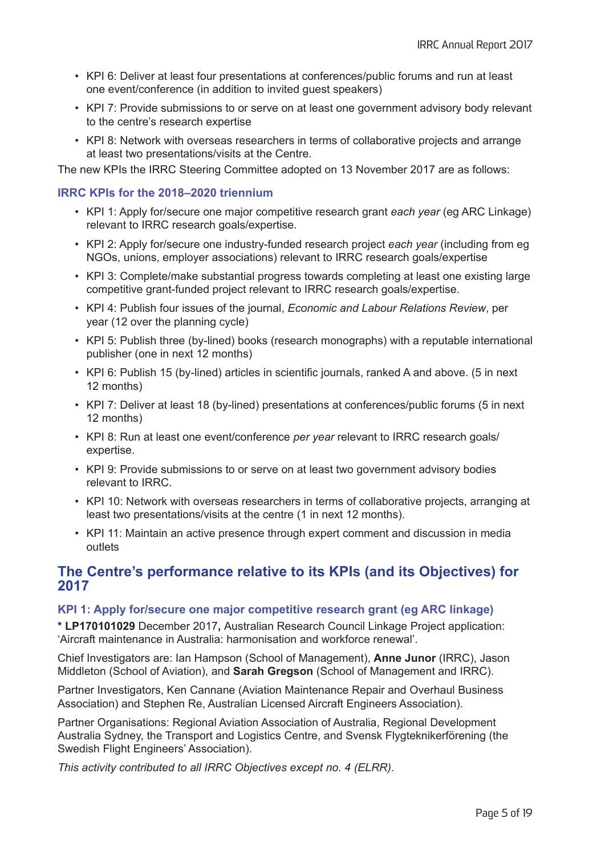- KPI 6: Deliver at least four presentations at conferences/public forums and run at least one event/conference (in addition to invited guest speakers)
- KPI 7: Provide submissions to or serve on at least one government advisory body relevant to the centre's research expertise
- KPI 8: Network with overseas researchers in terms of collaborative projects and arrange at least two presentations/visits at the Centre.

The new KPIs the IRRC Steering Committee adopted on 13 November 2017 are as follows:

#### **IRRC KPIs for the 2018–2020 triennium**

- KPI 1: Apply for/secure one major competitive research grant *each year* (eg ARC Linkage) relevant to IRRC research goals/expertise.
- KPI 2: Apply for/secure one industry-funded research project *each year* (including from eg NGOs, unions, employer associations) relevant to IRRC research goals/expertise
- KPI 3: Complete/make substantial progress towards completing at least one existing large competitive grant-funded project relevant to IRRC research goals/expertise.
- KPI 4: Publish four issues of the journal, *Economic and Labour Relations Review*, per year (12 over the planning cycle)
- KPI 5: Publish three (by-lined) books (research monographs) with a reputable international publisher (one in next 12 months)
- KPI 6: Publish 15 (by-lined) articles in scientific journals, ranked A and above. (5 in next 12 months)
- KPI 7: Deliver at least 18 (by-lined) presentations at conferences/public forums (5 in next 12 months)
- KPI 8: Run at least one event/conference *per year* relevant to IRRC research goals/ expertise.
- KPI 9: Provide submissions to or serve on at least two government advisory bodies relevant to IRRC.
- KPI 10: Network with overseas researchers in terms of collaborative projects, arranging at least two presentations/visits at the centre (1 in next 12 months).
- KPI 11: Maintain an active presence through expert comment and discussion in media outlets

## **The Centre's performance relative to its KPIs (and its Objectives) for 2017**

#### **KPI 1: Apply for/secure one major competitive research grant (eg ARC linkage)**

**\* LP170101029** December 2017**,** Australian Research Council Linkage Project application: 'Aircraft maintenance in Australia: harmonisation and workforce renewal'.

Chief Investigators are: Ian Hampson (School of Management), **Anne Junor** (IRRC), Jason Middleton (School of Aviation), and **Sarah Gregson** (School of Management and IRRC).

Partner Investigators, Ken Cannane (Aviation Maintenance Repair and Overhaul Business Association) and Stephen Re, Australian Licensed Aircraft Engineers Association).

Partner Organisations: Regional Aviation Association of Australia, Regional Development Australia Sydney, the Transport and Logistics Centre, and Svensk Flygteknikerförening (the Swedish Flight Engineers' Association).

*This activity contributed to all IRRC Objectives except no. 4 (ELRR)*.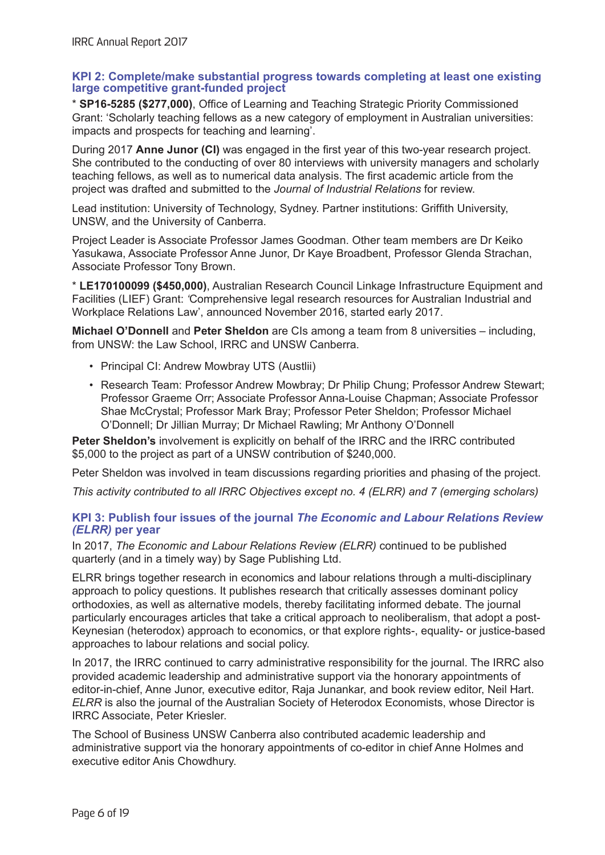#### **KPI 2: Complete/make substantial progress towards completing at least one existing large competitive grant-funded project**

\* **SP16-5285 (\$277,000)**, Office of Learning and Teaching Strategic Priority Commissioned Grant: 'Scholarly teaching fellows as a new category of employment in Australian universities: impacts and prospects for teaching and learning'.

During 2017 **Anne Junor (CI)** was engaged in the first year of this two-year research project. She contributed to the conducting of over 80 interviews with university managers and scholarly teaching fellows, as well as to numerical data analysis. The first academic article from the project was drafted and submitted to the *Journal of Industrial Relations* for review.

Lead institution: University of Technology, Sydney. Partner institutions: Griffith University, UNSW, and the University of Canberra.

Project Leader is Associate Professor James Goodman. Other team members are Dr Keiko Yasukawa, Associate Professor Anne Junor, Dr Kaye Broadbent, Professor Glenda Strachan, Associate Professor Tony Brown.

\* **LE170100099 (\$450,000)**, Australian Research Council Linkage Infrastructure Equipment and Facilities (LIEF) Grant: *'*Comprehensive legal research resources for Australian Industrial and Workplace Relations Law', announced November 2016, started early 2017.

**Michael O'Donnell** and **Peter Sheldon** are CIs among a team from 8 universities – including, from UNSW: the Law School, IRRC and UNSW Canberra.

- Principal CI: Andrew Mowbray UTS (Austlii)
- Research Team: Professor Andrew Mowbray; Dr Philip Chung; Professor Andrew Stewart; Professor Graeme Orr; Associate Professor Anna-Louise Chapman; Associate Professor Shae McCrystal; Professor Mark Bray; Professor Peter Sheldon; Professor Michael O'Donnell; Dr Jillian Murray; Dr Michael Rawling; Mr Anthony O'Donnell

**Peter Sheldon's** involvement is explicitly on behalf of the IRRC and the IRRC contributed \$5,000 to the project as part of a UNSW contribution of \$240,000.

Peter Sheldon was involved in team discussions regarding priorities and phasing of the project.

*This activity contributed to all IRRC Objectives except no. 4 (ELRR) and 7 (emerging scholars)*

#### **KPI 3: Publish four issues of the journal** *The Economic and Labour Relations Review (ELRR)* **per year**

In 2017, *The Economic and Labour Relations Review (ELRR)* continued to be published quarterly (and in a timely way) by Sage Publishing Ltd.

ELRR brings together research in economics and labour relations through a multi-disciplinary approach to policy questions. It publishes research that critically assesses dominant policy orthodoxies, as well as alternative models, thereby facilitating informed debate. The journal particularly encourages articles that take a critical approach to neoliberalism, that adopt a post-Keynesian (heterodox) approach to economics, or that explore rights-, equality- or justice-based approaches to labour relations and social policy.

In 2017, the IRRC continued to carry administrative responsibility for the journal. The IRRC also provided academic leadership and administrative support via the honorary appointments of editor-in-chief, Anne Junor, executive editor, Raja Junankar, and book review editor, Neil Hart. *ELRR* is also the journal of the Australian Society of Heterodox Economists, whose Director is IRRC Associate, Peter Kriesler.

The School of Business UNSW Canberra also contributed academic leadership and administrative support via the honorary appointments of co-editor in chief Anne Holmes and executive editor Anis Chowdhury.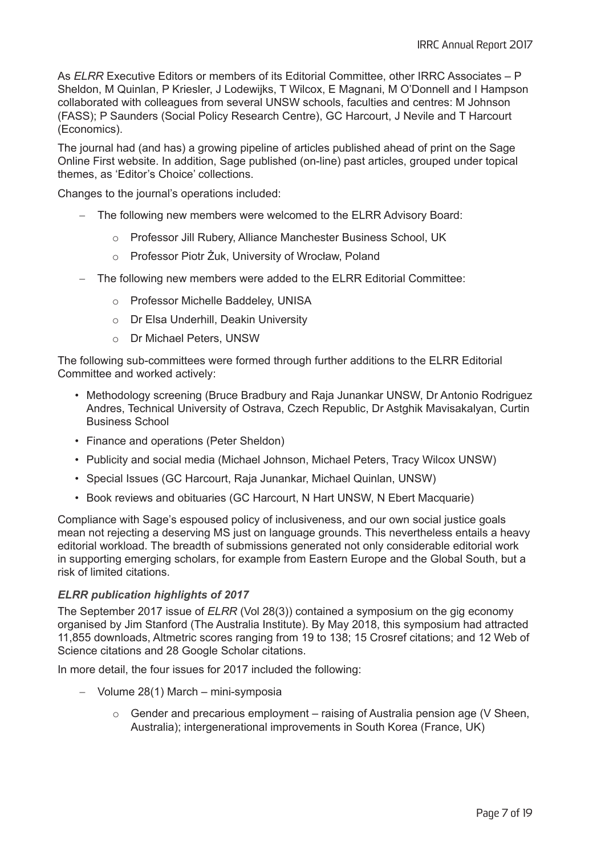As *ELRR* Executive Editors or members of its Editorial Committee, other IRRC Associates – P Sheldon, M Quinlan, P Kriesler, J Lodewijks, T Wilcox, E Magnani, M O'Donnell and I Hampson collaborated with colleagues from several UNSW schools, faculties and centres: M Johnson (FASS); P Saunders (Social Policy Research Centre), GC Harcourt, J Nevile and T Harcourt (Economics).

The journal had (and has) a growing pipeline of articles published ahead of print on the Sage Online First website. In addition, Sage published (on-line) past articles, grouped under topical themes, as 'Editor's Choice' collections.

Changes to the journal's operations included:

- The following new members were welcomed to the ELRR Advisory Board:
	- o Professor Jill Rubery, Alliance Manchester Business School, UK
	- o Professor Piotr Żuk, University of Wrocław, Poland
- $-$  The following new members were added to the ELRR Editorial Committee:
	- o Professor Michelle Baddeley, UNISA
	- o Dr Elsa Underhill, Deakin University
	- o Dr Michael Peters, UNSW

The following sub-committees were formed through further additions to the ELRR Editorial Committee and worked actively:

- Methodology screening (Bruce Bradbury and Raja Junankar UNSW, Dr Antonio Rodriguez Andres, Technical University of Ostrava, Czech Republic, Dr Astghik Mavisakalyan, Curtin Business School
- Finance and operations (Peter Sheldon)
- Publicity and social media (Michael Johnson, Michael Peters, Tracy Wilcox UNSW)
- Special Issues (GC Harcourt, Raja Junankar, Michael Quinlan, UNSW)
- Book reviews and obituaries (GC Harcourt, N Hart UNSW, N Ebert Macquarie)

Compliance with Sage's espoused policy of inclusiveness, and our own social justice goals mean not rejecting a deserving MS just on language grounds. This nevertheless entails a heavy editorial workload. The breadth of submissions generated not only considerable editorial work in supporting emerging scholars, for example from Eastern Europe and the Global South, but a risk of limited citations.

#### *ELRR publication highlights of 2017*

The September 2017 issue of *ELRR* (Vol 28(3)) contained a symposium on the gig economy organised by Jim Stanford (The Australia Institute). By May 2018, this symposium had attracted 11,855 downloads, Altmetric scores ranging from 19 to 138; 15 Crosref citations; and 12 Web of Science citations and 28 Google Scholar citations.

In more detail, the four issues for 2017 included the following:

- $-$  Volume 28(1) March mini-symposia
	- $\circ$  Gender and precarious employment raising of Australia pension age (V Sheen, Australia); intergenerational improvements in South Korea (France, UK)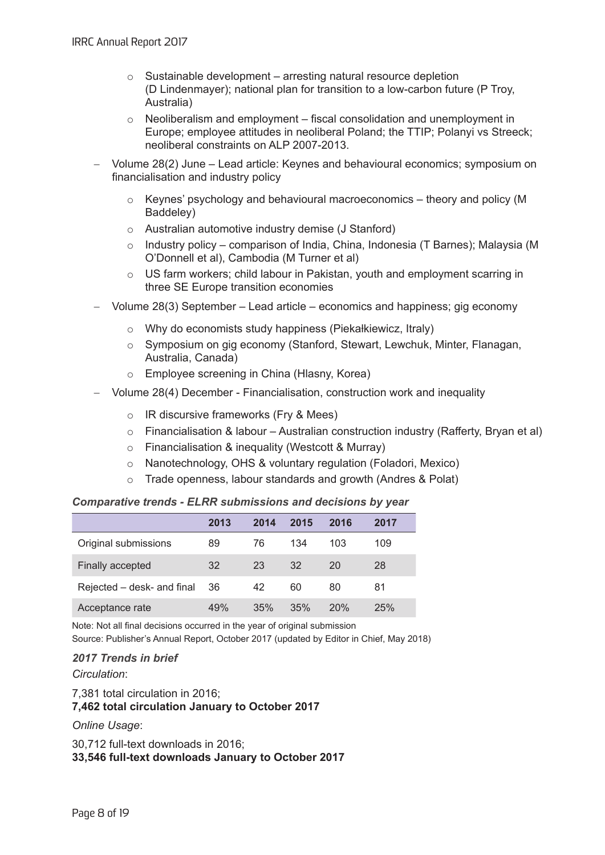- $\circ$  Sustainable development arresting natural resource depletion (D Lindenmayer); national plan for transition to a low-carbon future (P Troy, Australia)
- $\circ$  Neoliberalism and employment fiscal consolidation and unemployment in Europe; employee attitudes in neoliberal Poland; the TTIP; Polanyi vs Streeck; neoliberal constraints on ALP 2007-2013.
- Volume 28(2) June Lead article: Keynes and behavioural economics; symposium on financialisation and industry policy
	- $\circ$  Keynes' psychology and behavioural macroeconomics theory and policy (M) Baddeley)
	- o Australian automotive industry demise (J Stanford)
	- $\circ$  Industry policy comparison of India, China, Indonesia (T Barnes); Malaysia (M O'Donnell et al), Cambodia (M Turner et al)
	- o US farm workers; child labour in Pakistan, youth and employment scarring in three SE Europe transition economies
- Volume 28(3) September Lead article economics and happiness; gig economy
	- $\circ$  Why do economists study happiness (Piekałkiewicz, Itraly)
	- o Symposium on gig economy (Stanford, Stewart, Lewchuk, Minter, Flanagan, Australia, Canada)
	- o Employee screening in China (Hlasny, Korea)
- Volume 28(4) December Financialisation, construction work and inequality
	- o IR discursive frameworks (Fry & Mees)
	- o Financialisation & labour Australian construction industry (Rafferty, Bryan et al)
	- o Financialisation & inequality (Westcott & Murray)
	- o Nanotechnology, OHS & voluntary regulation (Foladori, Mexico)
	- o Trade openness, labour standards and growth (Andres & Polat)

#### *Comparative trends - ELRR submissions and decisions by year*

|                            | 2013 | 2014 | 2015 | 2016 | 2017 |
|----------------------------|------|------|------|------|------|
| Original submissions       | 89   | 76   | 134  | 103  | 109  |
| Finally accepted           | 32   | 23   | 32   | 20   | 28   |
| Rejected – desk- and final | 36   | 42   | 60   | 80   | 81   |
| Acceptance rate            | 49%  | 35%  | 35%  | 20%  | 25%  |

Note: Not all final decisions occurred in the year of original submission Source: Publisher's Annual Report, October 2017 (updated by Editor in Chief, May 2018)

#### *2017 Trends in brief*

*Circulation*:

7,381 total circulation in 2016; **7,462 total circulation January to October 2017** 

#### *Online Usage*:

30,712 full-text downloads in 2016; **33,546 full-text downloads January to October 2017**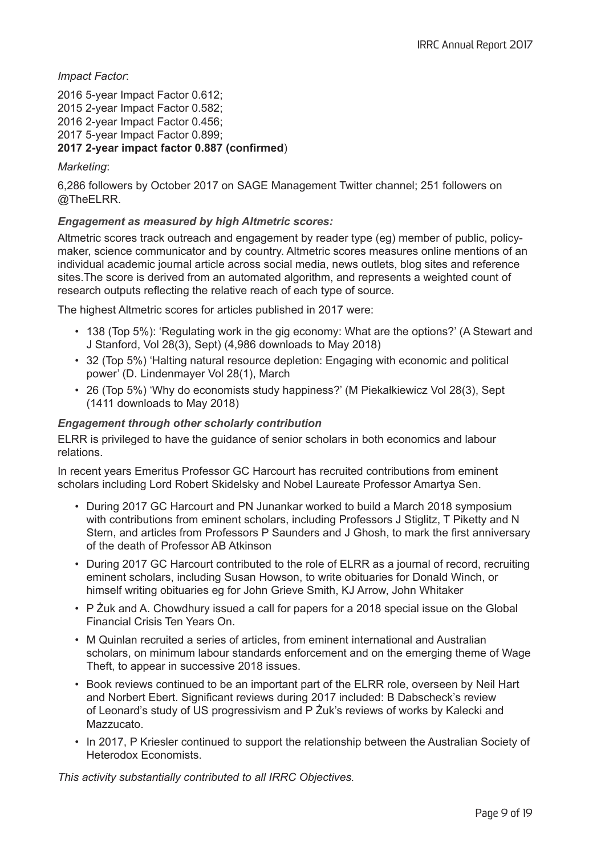*Impact Factor*:

2016 5-year Impact Factor 0.612; 2015 2-year Impact Factor 0.582; 2016 2-year Impact Factor 0.456; 2017 5-year Impact Factor 0.899; **2017 2-year impact factor 0.887 (confirmed**)

#### *Marketing*:

6,286 followers by October 2017 on SAGE Management Twitter channel; 251 followers on @TheELRR.

## *Engagement as measured by high Altmetric scores:*

Altmetric scores track outreach and engagement by reader type (eg) member of public, policymaker, science communicator and by country. Altmetric scores measures online mentions of an individual academic journal article across social media, news outlets, blog sites and reference sites.The score is derived from an automated algorithm, and represents a weighted count of research outputs reflecting the relative reach of each type of source.

The highest Altmetric scores for articles published in 2017 were:

- 138 (Top 5%): 'Regulating work in the gig economy: What are the options?' (A Stewart and J Stanford, Vol 28(3), Sept) (4,986 downloads to May 2018)
- 32 (Top 5%) 'Halting natural resource depletion: Engaging with economic and political power' (D. Lindenmayer Vol 28(1), March
- 26 (Top 5%) 'Why do economists study happiness?' (M Piekałkiewicz Vol 28(3), Sept (1411 downloads to May 2018)

## *Engagement through other scholarly contribution*

ELRR is privileged to have the guidance of senior scholars in both economics and labour relations.

In recent years Emeritus Professor GC Harcourt has recruited contributions from eminent scholars including Lord Robert Skidelsky and Nobel Laureate Professor Amartya Sen.

- During 2017 GC Harcourt and PN Junankar worked to build a March 2018 symposium with contributions from eminent scholars, including Professors J Stiglitz, T Piketty and N Stern, and articles from Professors P Saunders and J Ghosh, to mark the first anniversary of the death of Professor AB Atkinson
- During 2017 GC Harcourt contributed to the role of ELRR as a journal of record, recruiting eminent scholars, including Susan Howson, to write obituaries for Donald Winch, or himself writing obituaries eg for John Grieve Smith, KJ Arrow, John Whitaker
- P Żuk and A. Chowdhury issued a call for papers for a 2018 special issue on the Global Financial Crisis Ten Years On.
- M Quinlan recruited a series of articles, from eminent international and Australian scholars, on minimum labour standards enforcement and on the emerging theme of Wage Theft, to appear in successive 2018 issues.
- Book reviews continued to be an important part of the ELRR role, overseen by Neil Hart and Norbert Ebert. Significant reviews during 2017 included: B Dabscheck's review of Leonard's study of US progressivism and P Żuk's reviews of works by Kalecki and Mazzucato.
- In 2017, P Kriesler continued to support the relationship between the Australian Society of Heterodox Economists.

*This activity substantially contributed to all IRRC Objectives.*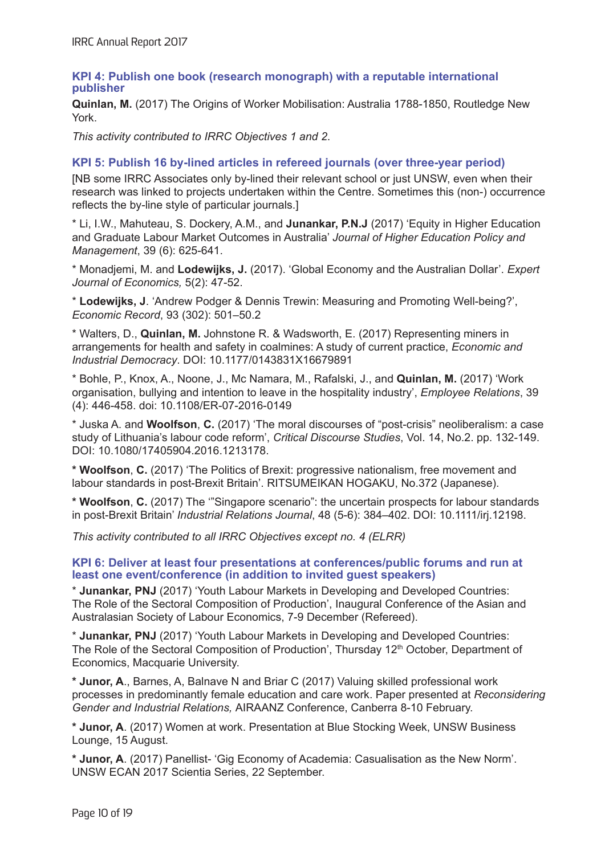#### **KPI 4: Publish one book (research monograph) with a reputable international publisher**

**Quinlan, M.** (2017) The Origins of Worker Mobilisation: Australia 1788-1850, Routledge New York.

*This activity contributed to IRRC Objectives 1 and 2*.

#### **KPI 5: Publish 16 by-lined articles in refereed journals (over three-year period)**

[NB some IRRC Associates only by-lined their relevant school or just UNSW, even when their research was linked to projects undertaken within the Centre. Sometimes this (non-) occurrence reflects the by-line style of particular journals.]

\* Li, I.W., Mahuteau, S. Dockery, A.M., and **Junankar, P.N.J** (2017) 'Equity in Higher Education and Graduate Labour Market Outcomes in Australia' *Journal of Higher Education Policy and Management*, 39 (6): 625-641.

\* Monadjemi, M. and **Lodewijks, J.** (2017). 'Global Economy and the Australian Dollar'. *Expert Journal of Economics,* 5(2): 47-52.

\* **Lodewijks, J**. 'Andrew Podger & Dennis Trewin: Measuring and Promoting Well-being?', *Economic Record*, 93 (302): 501–50.2

\* Walters, D., **Quinlan, M.** Johnstone R. & Wadsworth, E. (2017) Representing miners in arrangements for health and safety in coalmines: A study of current practice, *Economic and Industrial Democracy*. DOI: 10.1177/0143831X16679891

\* Bohle, P., Knox, A., Noone, J., Mc Namara, M., Rafalski, J., and **Quinlan, M.** (2017) 'Work organisation, bullying and intention to leave in the hospitality industry', *Employee Relations*, 39 (4): 446-458. doi: 10.1108/ER-07-2016-0149

\* Juska A. and **Woolfson**, **C.** (2017) 'The moral discourses of "post-crisis" neoliberalism: a case study of Lithuania's labour code reform', *Critical Discourse Studies*, Vol. 14, No.2. pp. 132-149. DOI: 10.1080/17405904.2016.1213178.

**\* Woolfson**, **C.** (2017) 'The Politics of Brexit: progressive nationalism, free movement and labour standards in post-Brexit Britain'. RITSUMEIKAN HOGAKU, No.372 (Japanese).

**\* Woolfson**, **C.** (2017) The '"Singapore scenario": the uncertain prospects for labour standards in post-Brexit Britain' *Industrial Relations Journal*, 48 (5-6): 384–402. DOI: 10.1111/irj.12198.

*This activity contributed to all IRRC Objectives except no. 4 (ELRR)*

#### **KPI 6: Deliver at least four presentations at conferences/public forums and run at least one event/conference (in addition to invited guest speakers)**

\* **Junankar, PNJ** (2017) 'Youth Labour Markets in Developing and Developed Countries: The Role of the Sectoral Composition of Production', Inaugural Conference of the Asian and Australasian Society of Labour Economics, 7-9 December (Refereed).

\* **Junankar, PNJ** (2017) 'Youth Labour Markets in Developing and Developed Countries: The Role of the Sectoral Composition of Production', Thursday 12<sup>th</sup> October, Department of Economics, Macquarie University.

**\* Junor, A**., Barnes, A, Balnave N and Briar C (2017) Valuing skilled professional work processes in predominantly female education and care work. Paper presented at *Reconsidering Gender and Industrial Relations,* AIRAANZ Conference, Canberra 8-10 February.

**\* Junor, A**. (2017) Women at work. Presentation at Blue Stocking Week, UNSW Business Lounge, 15 August.

**\* Junor, A**. (2017) Panellist- 'Gig Economy of Academia: Casualisation as the New Norm'. UNSW ECAN 2017 Scientia Series, 22 September.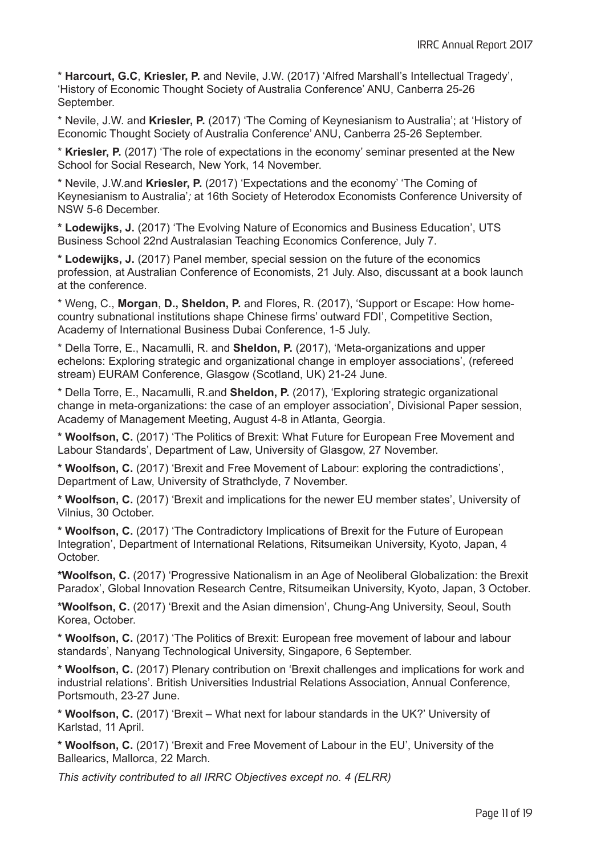\* **Harcourt, G.C**, **Kriesler, P.** and Nevile, J.W. (2017) 'Alfred Marshall's Intellectual Tragedy', 'History of Economic Thought Society of Australia Conference' ANU, Canberra 25-26 September.

\* Nevile, J.W. and **Kriesler, P.** (2017) 'The Coming of Keynesianism to Australia'; at 'History of Economic Thought Society of Australia Conference' ANU, Canberra 25-26 September.

\* **Kriesler, P.** (2017) 'The role of expectations in the economy' seminar presented at the New School for Social Research, New York, 14 November.

\* Nevile, J.W.and **Kriesler, P.** (2017) 'Expectations and the economy' 'The Coming of Keynesianism to Australia'*;* at 16th Society of Heterodox Economists Conference University of NSW 5-6 December.

**\* Lodewijks, J.** (2017) 'The Evolving Nature of Economics and Business Education', UTS Business School 22nd Australasian Teaching Economics Conference, July 7.

**\* Lodewijks, J.** (2017) Panel member, special session on the future of the economics profession, at Australian Conference of Economists, 21 July. Also, discussant at a book launch at the conference.

\* Weng, C., **Morgan**, **D., Sheldon, P.** and Flores, R. (2017), 'Support or Escape: How homecountry subnational institutions shape Chinese firms' outward FDI', Competitive Section, Academy of International Business Dubai Conference, 1-5 July.

\* Della Torre, E., Nacamulli, R. and **Sheldon, P.** (2017), 'Meta-organizations and upper echelons: Exploring strategic and organizational change in employer associations', (refereed stream) EURAM Conference, Glasgow (Scotland, UK) 21-24 June.

\* Della Torre, E., Nacamulli, R.and **Sheldon, P.** (2017), 'Exploring strategic organizational change in meta-organizations: the case of an employer association', Divisional Paper session, Academy of Management Meeting, August 4-8 in Atlanta, Georgia.

**\* Woolfson, C.** (2017) 'The Politics of Brexit: What Future for European Free Movement and Labour Standards', Department of Law, University of Glasgow, 27 November.

**\* Woolfson, C.** (2017) 'Brexit and Free Movement of Labour: exploring the contradictions', Department of Law, University of Strathclyde, 7 November.

**\* Woolfson, C.** (2017) 'Brexit and implications for the newer EU member states', University of Vilnius, 30 October.

**\* Woolfson, C.** (2017) 'The Contradictory Implications of Brexit for the Future of European Integration', Department of International Relations, Ritsumeikan University, Kyoto, Japan, 4 October.

**\*Woolfson, C.** (2017) 'Progressive Nationalism in an Age of Neoliberal Globalization: the Brexit Paradox', Global Innovation Research Centre, Ritsumeikan University, Kyoto, Japan, 3 October.

**\*Woolfson, C.** (2017) 'Brexit and the Asian dimension', Chung-Ang University, Seoul, South Korea, October.

**\* Woolfson, C.** (2017) 'The Politics of Brexit: European free movement of labour and labour standards', Nanyang Technological University, Singapore, 6 September.

**\* Woolfson, C.** (2017) Plenary contribution on 'Brexit challenges and implications for work and industrial relations'. British Universities Industrial Relations Association, Annual Conference, Portsmouth, 23-27 June.

**\* Woolfson, C.** (2017) 'Brexit – What next for labour standards in the UK?' University of Karlstad, 11 April.

**\* Woolfson, C.** (2017) 'Brexit and Free Movement of Labour in the EU', University of the Ballearics, Mallorca, 22 March.

*This activity contributed to all IRRC Objectives except no. 4 (ELRR)*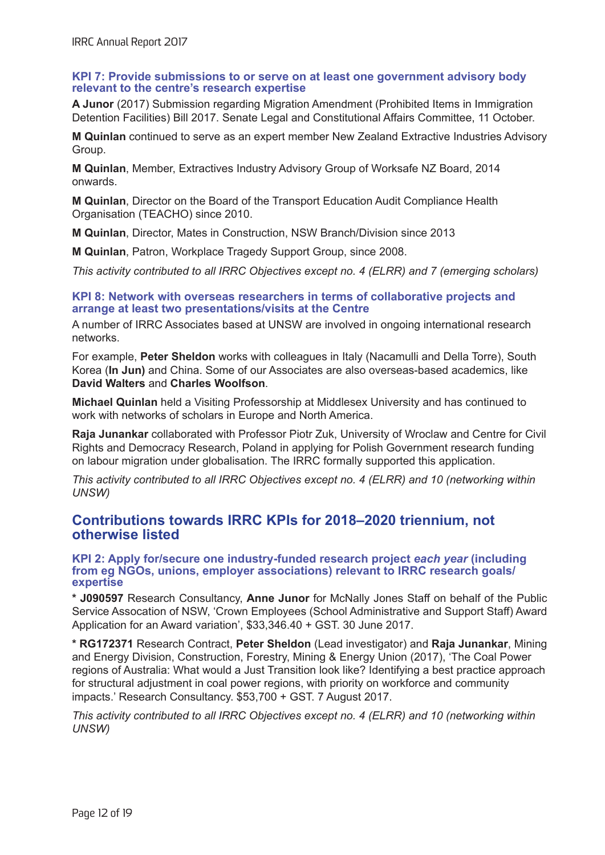#### **KPI 7: Provide submissions to or serve on at least one government advisory body relevant to the centre's research expertise**

**A Junor** (2017) Submission regarding Migration Amendment (Prohibited Items in Immigration Detention Facilities) Bill 2017. Senate Legal and Constitutional Affairs Committee, 11 October.

**M Quinlan** continued to serve as an expert member New Zealand Extractive Industries Advisory Group.

**M Quinlan**, Member, Extractives Industry Advisory Group of Worksafe NZ Board, 2014 onwards.

**M Quinlan**, Director on the Board of the Transport Education Audit Compliance Health Organisation (TEACHO) since 2010.

**M Quinlan**, Director, Mates in Construction, NSW Branch/Division since 2013

**M Quinlan**, Patron, Workplace Tragedy Support Group, since 2008.

*This activity contributed to all IRRC Objectives except no. 4 (ELRR) and 7 (emerging scholars)*

#### **KPI 8: Network with overseas researchers in terms of collaborative projects and arrange at least two presentations/visits at the Centre**

A number of IRRC Associates based at UNSW are involved in ongoing international research networks.

For example, **Peter Sheldon** works with colleagues in Italy (Nacamulli and Della Torre), South Korea (**In Jun)** and China. Some of our Associates are also overseas-based academics, like **David Walters** and **Charles Woolfson**.

**Michael Quinlan** held a Visiting Professorship at Middlesex University and has continued to work with networks of scholars in Europe and North America.

**Raja Junankar** collaborated with Professor Piotr Zuk, University of Wroclaw and Centre for Civil Rights and Democracy Research, Poland in applying for Polish Government research funding on labour migration under globalisation. The IRRC formally supported this application.

*This activity contributed to all IRRC Objectives except no. 4 (ELRR) and 10 (networking within UNSW)*

## **Contributions towards IRRC KPIs for 2018–2020 triennium, not otherwise listed**

**KPI 2: Apply for/secure one industry-funded research project** *each year* **(including from eg NGOs, unions, employer associations) relevant to IRRC research goals/ expertise**

**\* J090597** Research Consultancy, **Anne Junor** for McNally Jones Staff on behalf of the Public Service Assocation of NSW, 'Crown Employees (School Administrative and Support Staff) Award Application for an Award variation', \$33,346.40 + GST. 30 June 2017.

**\* RG172371** Research Contract, **Peter Sheldon** (Lead investigator) and **Raja Junankar**, Mining and Energy Division, Construction, Forestry, Mining & Energy Union (2017), 'The Coal Power regions of Australia: What would a Just Transition look like? Identifying a best practice approach for structural adjustment in coal power regions, with priority on workforce and community impacts.' Research Consultancy. \$53,700 + GST. 7 August 2017.

*This activity contributed to all IRRC Objectives except no. 4 (ELRR) and 10 (networking within UNSW)*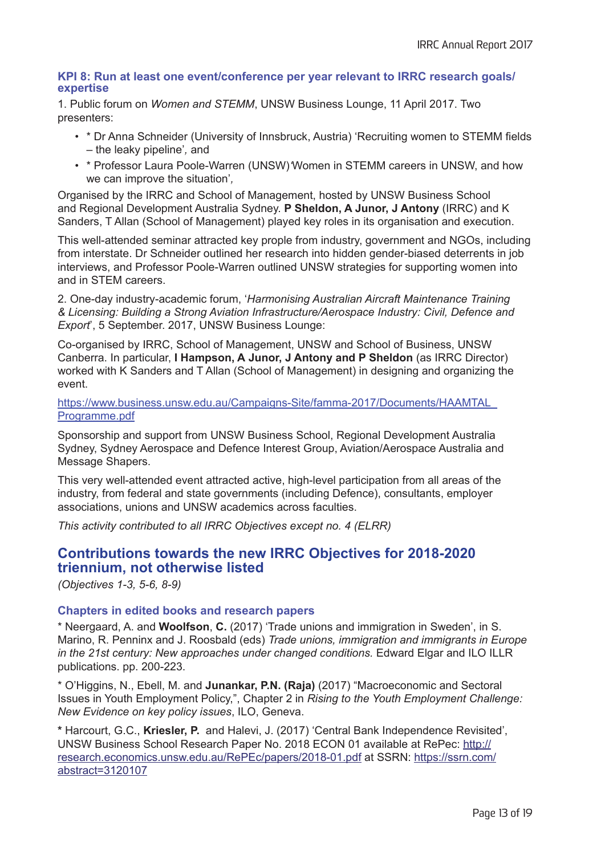#### **KPI 8: Run at least one event/conference per year relevant to IRRC research goals/ expertise**

1. Public forum on *Women and STEMM*, UNSW Business Lounge, 11 April 2017. Two presenters:

- \* Dr Anna Schneider (University of Innsbruck, Austria) 'Recruiting women to STEMM fields – the leaky pipeline'*,* and
- \* Professor Laura Poole-Warren (UNSW)*'*Women in STEMM careers in UNSW, and how we can improve the situation'*,*

Organised by the IRRC and School of Management, hosted by UNSW Business School and Regional Development Australia Sydney. **P Sheldon, A Junor, J Antony** (IRRC) and K Sanders, T Allan (School of Management) played key roles in its organisation and execution.

This well-attended seminar attracted key prople from industry, government and NGOs, including from interstate. Dr Schneider outlined her research into hidden gender-biased deterrents in job interviews, and Professor Poole-Warren outlined UNSW strategies for supporting women into and in STEM careers.

2. One-day industry-academic forum, '*Harmonising Australian Aircraft Maintenance Training & Licensing: Building a Strong Aviation Infrastructure/Aerospace Industry: Civil, Defence and Export*', 5 September. 2017, UNSW Business Lounge:

Co-organised by IRRC, School of Management, UNSW and School of Business, UNSW Canberra. In particular, **I Hampson, A Junor, J Antony and P Sheldon** (as IRRC Director) worked with K Sanders and T Allan (School of Management) in designing and organizing the event.

https://www.business.unsw.edu.au/Campaigns-Site/famma-2017/Documents/HAAMTAL\_ Programme.pdf

Sponsorship and support from UNSW Business School, Regional Development Australia Sydney, Sydney Aerospace and Defence Interest Group, Aviation/Aerospace Australia and Message Shapers.

This very well-attended event attracted active, high-level participation from all areas of the industry, from federal and state governments (including Defence), consultants, employer associations, unions and UNSW academics across faculties.

*This activity contributed to all IRRC Objectives except no. 4 (ELRR)* 

## **Contributions towards the new IRRC Objectives for 2018-2020 triennium, not otherwise listed**

*(Objectives 1-3, 5-6, 8-9)*

#### **Chapters in edited books and research papers**

\* Neergaard, A. and **Woolfson**, **C.** (2017) 'Trade unions and immigration in Sweden', in S. Marino, R. Penninx and J. Roosbald (eds) *Trade unions, immigration and immigrants in Europe in the 21st century: New approaches under changed conditions.* Edward Elgar and ILO ILLR publications. pp. 200-223.

\* O'Higgins, N., Ebell, M. and **Junankar, P.N. (Raja)** (2017) "Macroeconomic and Sectoral Issues in Youth Employment Policy,", Chapter 2 in *Rising to the Youth Employment Challenge: New Evidence on key policy issues*, ILO, Geneva.

**\*** Harcourt, G.C., **Kriesler, P.** and Halevi, J. (2017) 'Central Bank Independence Revisited', UNSW Business School Research Paper No. 2018 ECON 01 available at RePec: http:// research.economics.unsw.edu.au/RePEc/papers/2018-01.pdf at SSRN: https://ssrn.com/ abstract=3120107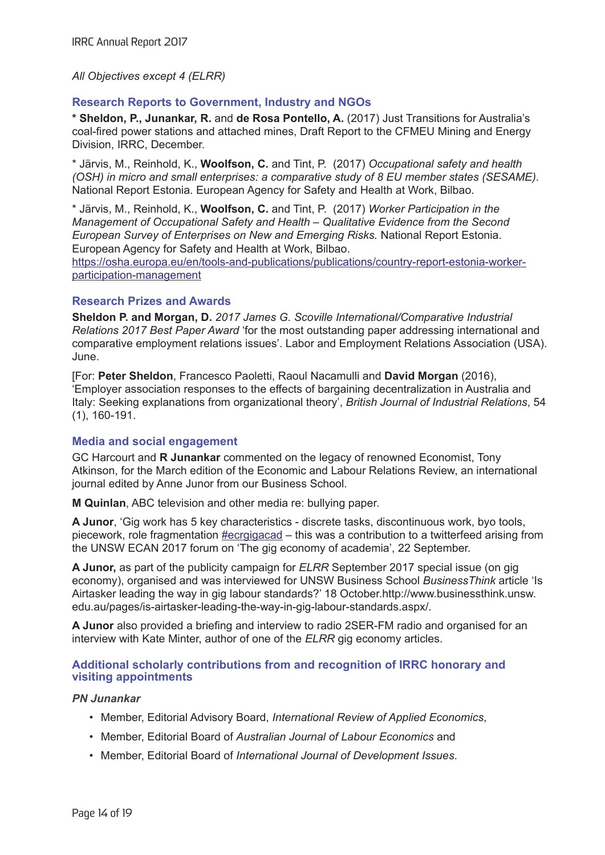#### *All Objectives except 4 (ELRR)*

### **Research Reports to Government, Industry and NGOs**

**\* Sheldon, P., Junankar, R.** and **de Rosa Pontello, A.** (2017) Just Transitions for Australia's coal-fired power stations and attached mines, Draft Report to the CFMEU Mining and Energy Division, IRRC, December.

\* Järvis, M., Reinhold, K., **Woolfson, C.** and Tint, P. (2017) *Occupational safety and health (OSH) in micro and small enterprises: a comparative study of 8 EU member states (SESAME)*. National Report Estonia. European Agency for Safety and Health at Work, Bilbao.

\* Järvis, M., Reinhold, K., **Woolfson, C.** and Tint, P. (2017) *Worker Participation in the Management of Occupational Safety and Health – Qualitative Evidence from the Second European Survey of Enterprises on New and Emerging Risks.* National Report Estonia. European Agency for Safety and Health at Work, Bilbao.

https://osha.europa.eu/en/tools-and-publications/publications/country-report-estonia-workerparticipation-management

#### **Research Prizes and Awards**

**Sheldon P. and Morgan, D.** *2017 James G. Scoville International/Comparative Industrial Relations 2017 Best Paper Award* 'for the most outstanding paper addressing international and comparative employment relations issues'. Labor and Employment Relations Association (USA). June.

[For: **Peter Sheldon**, Francesco Paoletti, Raoul Nacamulli and **David Morgan** (2016), 'Employer association responses to the effects of bargaining decentralization in Australia and Italy: Seeking explanations from organizational theory', *British Journal of Industrial Relations*, 54 (1), 160-191.

#### **Media and social engagement**

GC Harcourt and **R Junankar** commented on the legacy of renowned Economist, Tony Atkinson, for the March edition of the Economic and Labour Relations Review, an international journal edited by Anne Junor from our Business School.

**M Quinlan**, ABC television and other media re: bullying paper.

**A Junor**, 'Gig work has 5 key characteristics - discrete tasks, discontinuous work, byo tools, piecework, role fragmentation **#ecrgigacad** – this was a contribution to a twitterfeed arising from the UNSW ECAN 2017 forum on 'The gig economy of academia', 22 September.

**A Junor,** as part of the publicity campaign for *ELRR* September 2017 special issue (on gig economy), organised and was interviewed for UNSW Business School *BusinessThink* article 'Is Airtasker leading the way in gig labour standards?' 18 October.http://www.businessthink.unsw. edu.au/pages/is-airtasker-leading-the-way-in-gig-labour-standards.aspx/.

**A Junor** also provided a briefing and interview to radio 2SER-FM radio and organised for an interview with Kate Minter, author of one of the *ELRR* gig economy articles.

#### **Additional scholarly contributions from and recognition of IRRC honorary and visiting appointments**

#### *PN Junankar*

- Member, Editorial Advisory Board, *International Review of Applied Economics*,
- Member, Editorial Board of *Australian Journal of Labour Economics* and
- Member, Editorial Board of *International Journal of Development Issues*.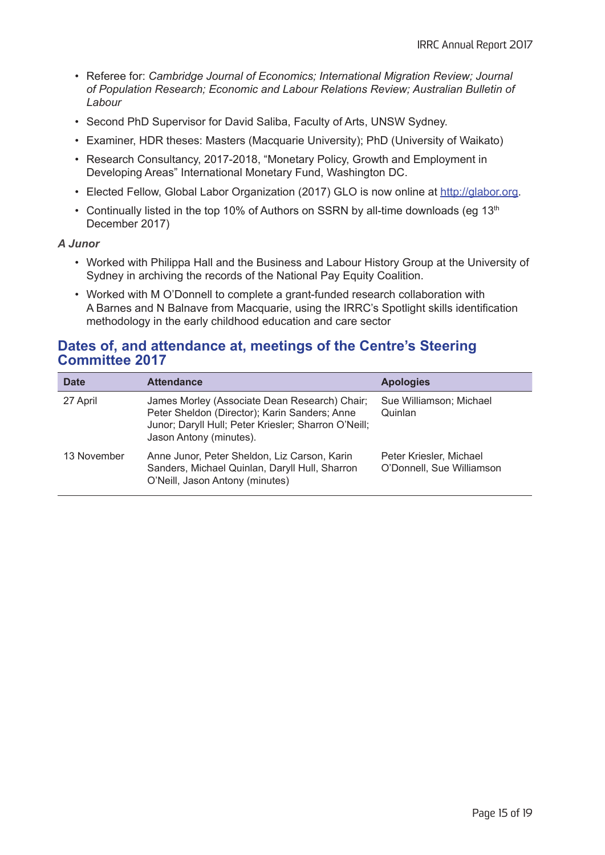- Referee for: *Cambridge Journal of Economics; International Migration Review; Journal of Population Research; Economic and Labour Relations Review; Australian Bulletin of Labour*
- Second PhD Supervisor for David Saliba, Faculty of Arts, UNSW Sydney.
- Examiner, HDR theses: Masters (Macquarie University); PhD (University of Waikato)
- Research Consultancy, 2017-2018, "Monetary Policy, Growth and Employment in Developing Areas" International Monetary Fund, Washington DC.
- Elected Fellow, Global Labor Organization (2017) GLO is now online at http://glabor.org.
- Continually listed in the top 10% of Authors on SSRN by all-time downloads (eq 13<sup>th</sup>) December 2017)

#### *A Junor*

- Worked with Philippa Hall and the Business and Labour History Group at the University of Sydney in archiving the records of the National Pay Equity Coalition.
- Worked with M O'Donnell to complete a grant-funded research collaboration with A Barnes and N Balnave from Macquarie, using the IRRC's Spotlight skills identification methodology in the early childhood education and care sector

## **Dates of, and attendance at, meetings of the Centre's Steering Committee 2017**

| <b>Date</b> | <b>Attendance</b>                                                                                                                                                                 | <b>Apologies</b>                                     |
|-------------|-----------------------------------------------------------------------------------------------------------------------------------------------------------------------------------|------------------------------------------------------|
| 27 April    | James Morley (Associate Dean Research) Chair;<br>Peter Sheldon (Director); Karin Sanders; Anne<br>Junor; Daryll Hull; Peter Kriesler; Sharron O'Neill;<br>Jason Antony (minutes). | Sue Williamson; Michael<br>Quinlan                   |
| 13 November | Anne Junor, Peter Sheldon, Liz Carson, Karin<br>Sanders, Michael Quinlan, Daryll Hull, Sharron<br>O'Neill, Jason Antony (minutes)                                                 | Peter Kriesler, Michael<br>O'Donnell, Sue Williamson |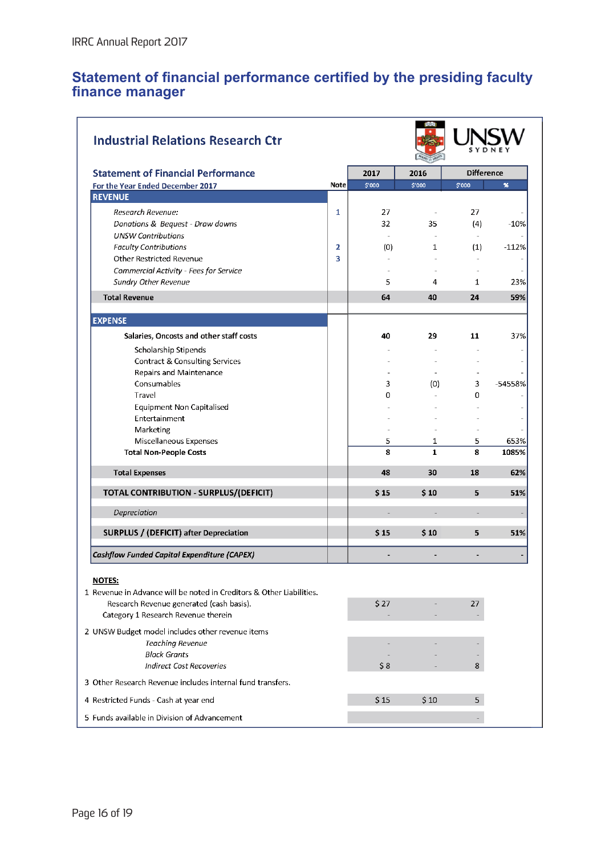## **Statement of financial performance certified by the presiding faculty finance manager**

| <b>Industrial Relations Research Ctr</b>                             |             |        |                |                          |              |
|----------------------------------------------------------------------|-------------|--------|----------------|--------------------------|--------------|
| <b>Statement of Financial Performance</b>                            |             | 2017   | 2016           | <b>Difference</b>        |              |
| For the Year Ended December 2017                                     | <b>Note</b> | \$'000 | \$'000         | \$'000                   | $\mathbf{x}$ |
| <b>REVENUE</b>                                                       |             |        |                |                          |              |
| Research Revenue:                                                    | 1           | 27     | $\sim$         | 27                       |              |
| Donations & Bequest - Draw downs                                     |             | 32     | 35             | (4)                      | $-10%$       |
| <b>UNSW Contributions</b>                                            |             |        |                | $\omega$                 |              |
| <b>Faculty Contributions</b>                                         | 2           | (0)    | 1              | (1)                      | $-112%$      |
| Other Restricted Revenue                                             | 3           | $\sim$ |                |                          |              |
| Commercial Activity - Fees for Service                               |             |        |                | $\overline{\phantom{a}}$ |              |
| Sundry Other Revenue                                                 |             | 5      | 4              | $\mathbf{1}$             | 23%          |
| <b>Total Revenue</b>                                                 |             | 64     | 40             | 24                       | 59%          |
|                                                                      |             |        |                |                          |              |
| <b>EXPENSE</b>                                                       |             |        |                |                          |              |
| Salaries, Oncosts and other staff costs                              |             | 40     | 29             | 11                       | 37%          |
| Scholarship Stipends                                                 |             |        |                |                          |              |
| <b>Contract &amp; Consulting Services</b>                            |             |        |                |                          |              |
| Repairs and Maintenance                                              |             |        |                |                          |              |
| Consumables                                                          |             | 3      | (0)            | 3                        | -54558%      |
| Travel                                                               |             | 0      |                | 0                        |              |
| <b>Equipment Non Capitalised</b>                                     |             |        |                |                          |              |
| Entertainment                                                        |             |        |                |                          |              |
| Marketing                                                            |             |        |                |                          |              |
| Miscellaneous Expenses                                               |             | 5      | 1              | 5                        | 653%         |
| <b>Total Non-People Costs</b>                                        |             | 8      | $\mathbf{1}$   | 8                        | 1085%        |
| <b>Total Expenses</b>                                                |             | 48     | 30             | 18                       | 62%          |
| TOTAL CONTRIBUTION - SURPLUS/(DEFICIT)                               |             | \$15   | 510            | 5                        | 51%          |
| Depreciation                                                         |             | $\sim$ | $\overline{a}$ | $\equiv$                 |              |
| SURPLUS / (DEFICIT) after Depreciation                               |             | \$15   | $S$ 10         | 5                        | 51%          |
| Cashflow Funded Capital Expenditure (CAPEX)                          |             |        |                |                          |              |
|                                                                      |             |        |                |                          |              |
| NOTES:                                                               |             |        |                |                          |              |
| 1 Revenue in Advance will be noted in Creditors & Other Liabilities. |             |        |                |                          |              |
| Research Revenue generated (cash basis).                             |             | \$27   |                | 27                       |              |
| Category 1 Research Revenue therein                                  |             |        |                |                          |              |
| 2 UNSW Budget model includes other revenue items                     |             |        |                |                          |              |
| <b>Teaching Revenue</b>                                              |             |        |                |                          |              |
| <b>Block Grants</b>                                                  |             |        |                |                          |              |
| <b>Indirect Cost Recoveries</b>                                      |             | \$8    |                | 8                        |              |
| 3 Other Research Revenue includes internal fund transfers.           |             |        |                |                          |              |
| 4 Restricted Funds - Cash at year end                                |             | \$15   | \$10           | 5                        |              |
| 5 Funds available in Division of Advancement                         |             |        |                |                          |              |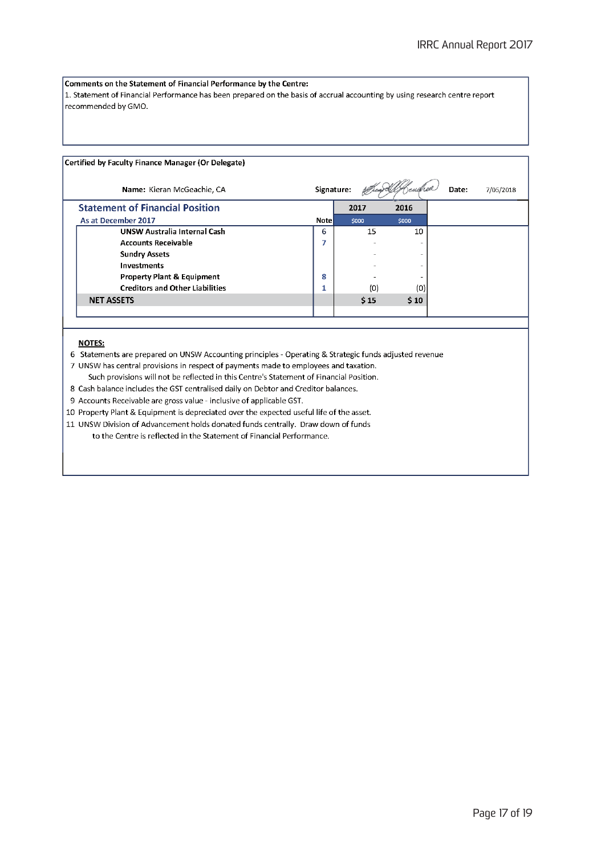#### Comments on the Statement of Financial Performance by the Centre:

 $\vert$ 1. Statement of Financial Performance has been prepared on the basis of accrual accounting by using research centre report recommended by GMO.

#### Certified by Faculty Finance Manager (Or Delegate)

| Name: Kieran McGeachie, CA             | Signature:   |       |       | Date:<br>7/05/2018 |
|----------------------------------------|--------------|-------|-------|--------------------|
| <b>Statement of Financial Position</b> |              | 2017  | 2016  |                    |
| As at December 2017                    | <b>Notel</b> | \$000 | \$000 |                    |
| <b>UNSW Australia Internal Cash</b>    | 6            | 15    | 10    |                    |
| <b>Accounts Receivable</b>             |              |       |       |                    |
| <b>Sundry Assets</b>                   |              |       |       |                    |
| <b>Investments</b>                     |              |       |       |                    |
| <b>Property Plant &amp; Equipment</b>  | 8            |       |       |                    |
| <b>Creditors and Other Liabilities</b> |              | (0)   | (0)   |                    |
| <b>NET ASSETS</b>                      |              | 515   | \$10  |                    |
|                                        |              |       |       |                    |

#### **NOTES:**

6 Statements are prepared on UNSW Accounting principles - Operating & Strategic funds adjusted revenue

- 7 UNSW has central provisions in respect of payments made to employees and taxation.
- Such provisions will not be reflected in this Centre's Statement of Financial Position.
- 8 Cash balance includes the GST centralised daily on Debtor and Creditor balances.
- 9 Accounts Receivable are gross value inclusive of applicable GST.

10 Property Plant & Equipment is depreciated over the expected useful life of the asset.

11 UNSW Division of Advancement holds donated funds centrally. Draw down of funds to the Centre is reflected in the Statement of Financial Performance.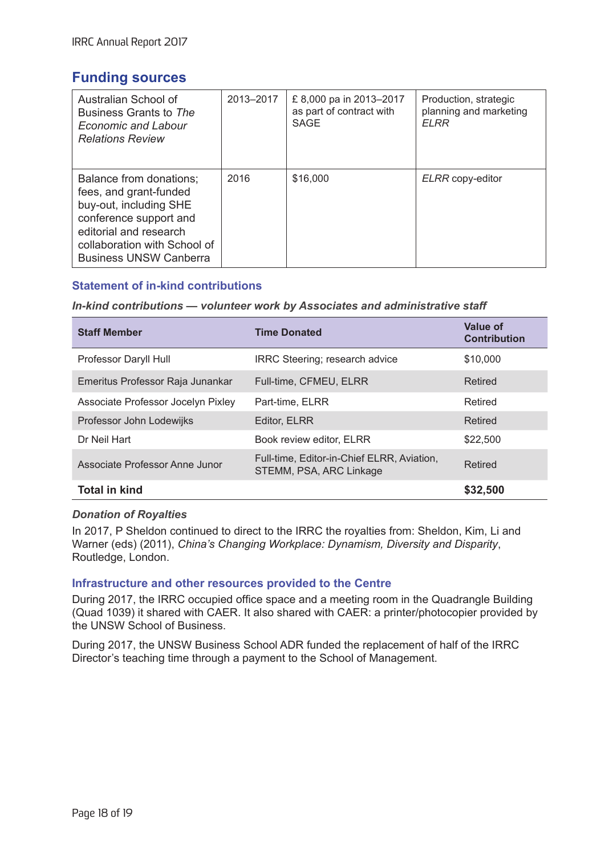## **Funding sources**

| Australian School of<br>Business Grants to The<br><b>Economic and Labour</b><br><b>Relations Review</b>                                                                                          | 2013-2017 | £8,000 pa in 2013-2017<br>as part of contract with<br>SAGE | Production, strategic<br>planning and marketing<br><b>ELRR</b> |
|--------------------------------------------------------------------------------------------------------------------------------------------------------------------------------------------------|-----------|------------------------------------------------------------|----------------------------------------------------------------|
| Balance from donations;<br>fees, and grant-funded<br>buy-out, including SHE<br>conference support and<br>editorial and research<br>collaboration with School of<br><b>Business UNSW Canberra</b> | 2016      | \$16,000                                                   | ELRR copy-editor                                               |

## **Statement of in-kind contributions**

#### *In-kind contributions — volunteer work by Associates and administrative staff*

| <b>Staff Member</b>                | <b>Time Donated</b>                                                   | Value of<br><b>Contribution</b> |
|------------------------------------|-----------------------------------------------------------------------|---------------------------------|
| Professor Daryll Hull              | IRRC Steering; research advice                                        | \$10,000                        |
| Emeritus Professor Raja Junankar   | Full-time, CFMEU, ELRR                                                | Retired                         |
| Associate Professor Jocelyn Pixley | Part-time, ELRR                                                       | Retired                         |
| Professor John Lodewijks           | Editor, ELRR                                                          | Retired                         |
| Dr Neil Hart                       | Book review editor, ELRR                                              | \$22,500                        |
| Associate Professor Anne Junor     | Full-time, Editor-in-Chief ELRR, Aviation,<br>STEMM, PSA, ARC Linkage | Retired                         |
| <b>Total in kind</b>               |                                                                       | \$32,500                        |

#### *Donation of Royalties*

In 2017, P Sheldon continued to direct to the IRRC the royalties from: Sheldon, Kim, Li and Warner (eds) (2011), *China's Changing Workplace: Dynamism, Diversity and Disparity*, Routledge, London.

#### **Infrastructure and other resources provided to the Centre**

During 2017, the IRRC occupied office space and a meeting room in the Quadrangle Building (Quad 1039) it shared with CAER. It also shared with CAER: a printer/photocopier provided by the UNSW School of Business.

During 2017, the UNSW Business School ADR funded the replacement of half of the IRRC Director's teaching time through a payment to the School of Management.